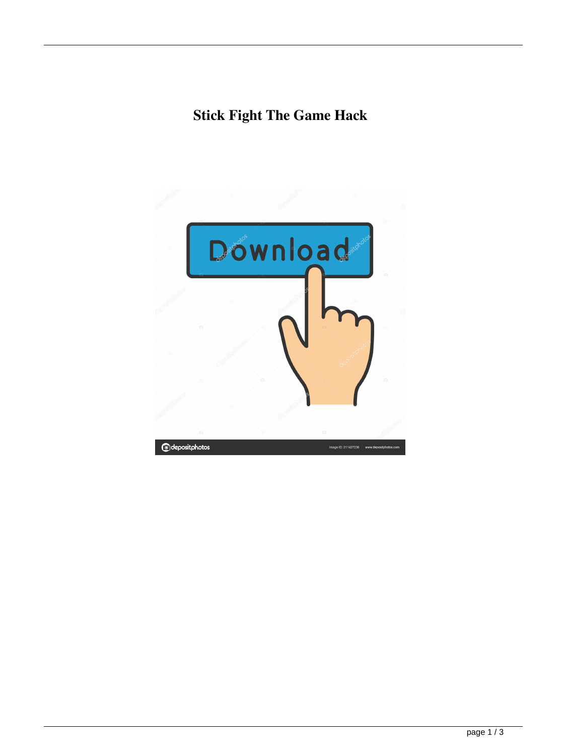## **Stick Fight The Game Hack**

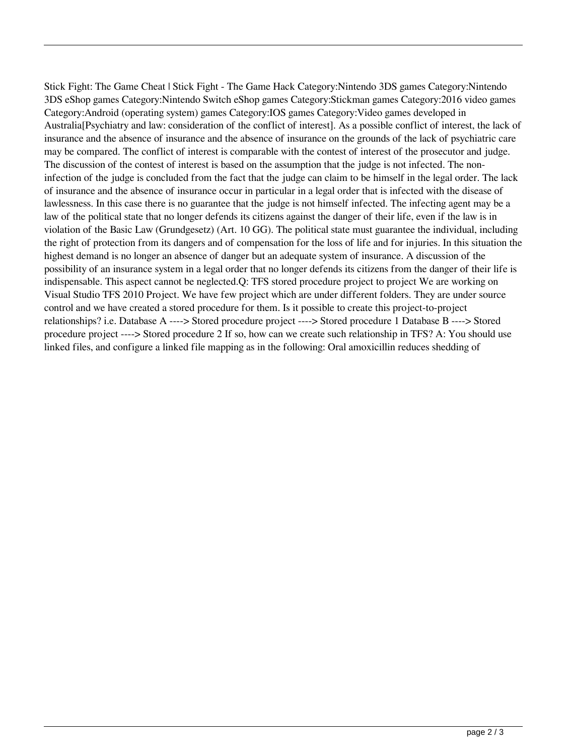Stick Fight: The Game Cheat | Stick Fight - The Game Hack Category:Nintendo 3DS games Category:Nintendo 3DS eShop games Category:Nintendo Switch eShop games Category:Stickman games Category:2016 video games Category:Android (operating system) games Category:IOS games Category:Video games developed in Australia[Psychiatry and law: consideration of the conflict of interest]. As a possible conflict of interest, the lack of insurance and the absence of insurance and the absence of insurance on the grounds of the lack of psychiatric care may be compared. The conflict of interest is comparable with the contest of interest of the prosecutor and judge. The discussion of the contest of interest is based on the assumption that the judge is not infected. The noninfection of the judge is concluded from the fact that the judge can claim to be himself in the legal order. The lack of insurance and the absence of insurance occur in particular in a legal order that is infected with the disease of lawlessness. In this case there is no guarantee that the judge is not himself infected. The infecting agent may be a law of the political state that no longer defends its citizens against the danger of their life, even if the law is in violation of the Basic Law (Grundgesetz) (Art. 10 GG). The political state must guarantee the individual, including the right of protection from its dangers and of compensation for the loss of life and for injuries. In this situation the highest demand is no longer an absence of danger but an adequate system of insurance. A discussion of the possibility of an insurance system in a legal order that no longer defends its citizens from the danger of their life is indispensable. This aspect cannot be neglected.Q: TFS stored procedure project to project We are working on Visual Studio TFS 2010 Project. We have few project which are under different folders. They are under source control and we have created a stored procedure for them. Is it possible to create this project-to-project relationships? i.e. Database A ----> Stored procedure project ----> Stored procedure 1 Database B ----> Stored procedure project ----> Stored procedure 2 If so, how can we create such relationship in TFS? A: You should use linked files, and configure a linked file mapping as in the following: Oral amoxicillin reduces shedding of